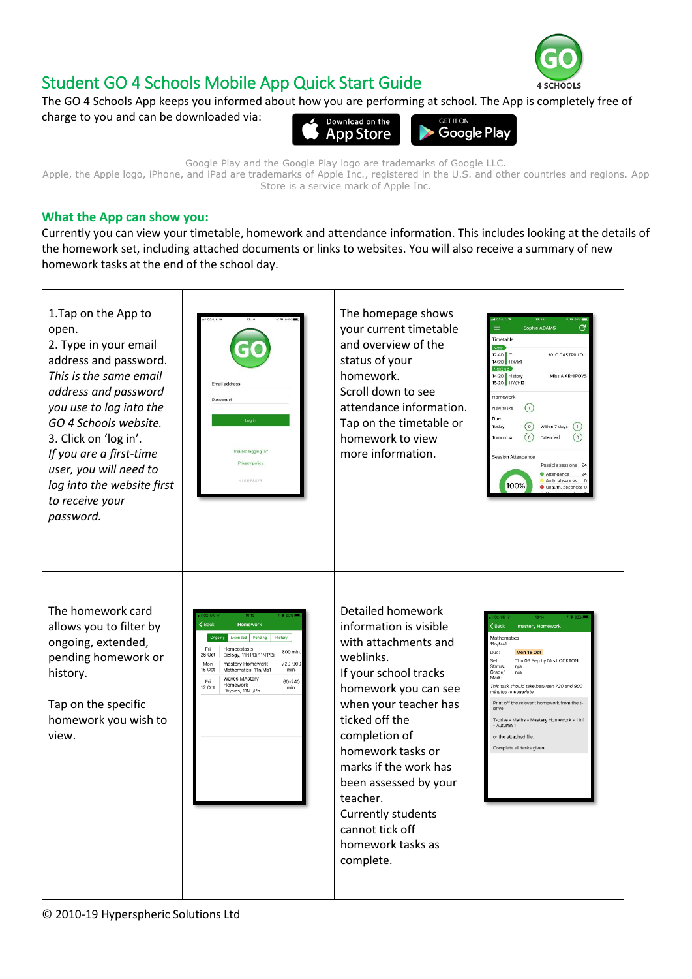

## Student GO 4 Schools Mobile App Quick Start Guide

The GO 4 Schools App keeps you informed about how you are performing at school. The App is completely free of charge to you and can be downloaded via: **ET IT ON** 



Google Play and the Google Play logo are trademarks of Google LLC. Apple, the Apple logo, iPhone, and iPad are trademarks of Apple Inc., registered in the U.S. and other countries and regions. App Store is a service mark of Apple Inc.

## **What the App can show you:**

Currently you can view your timetable, homework and attendance information. This includes looking at the details of the homework set, including attached documents or links to websites. You will also receive a summary of new homework tasks at the end of the school day.

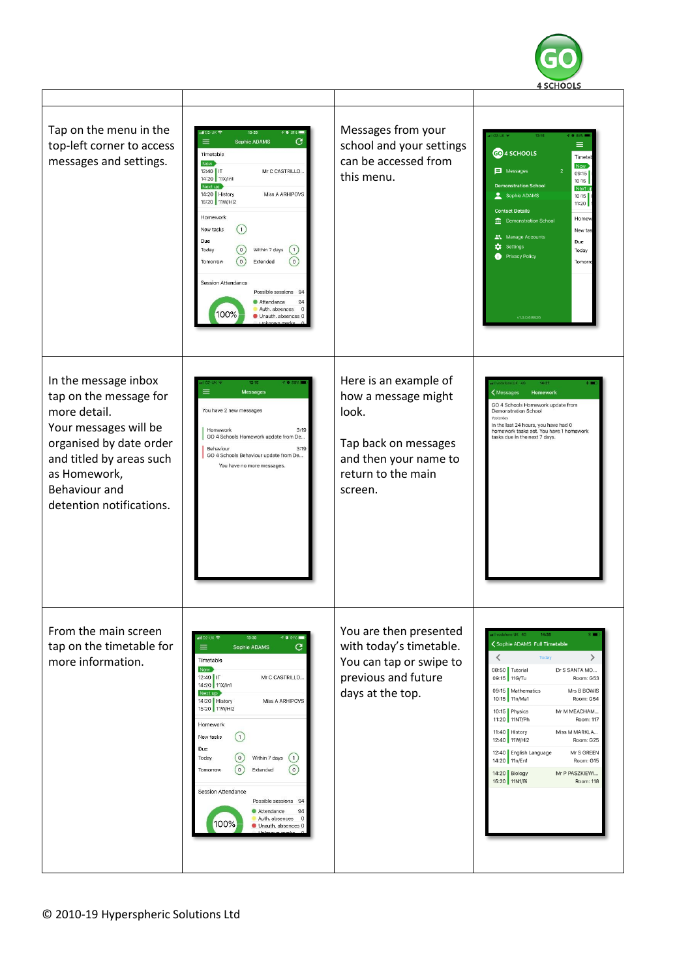